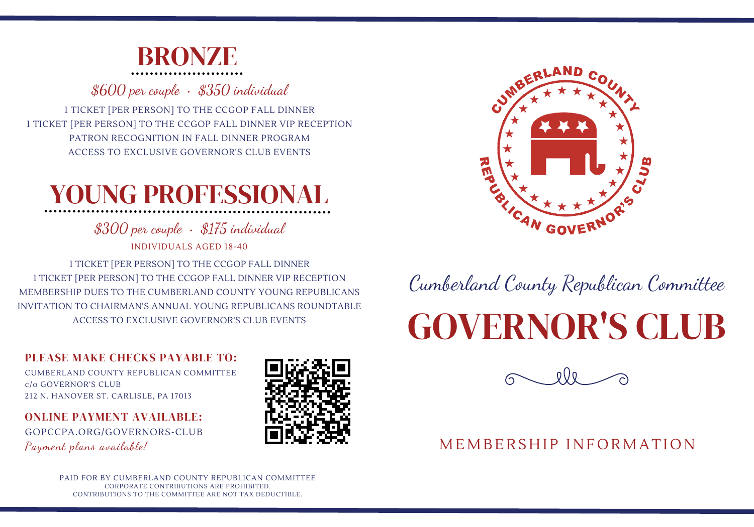

\$600 per couple • \$350 individual

1 TICKET [PER PERSON] TO THE CCGOP FALL DINNER 1 TICKET [PER PERSON] TO THE CCGOP FALL DINNER VIP RECEPTION PATRON RECOGNITION IN FALL DINNER PROGRAM ACCESS TO EXCLUSIVE GOVERNOR'S CLUB EVENTS

### YOUNG PROFESSIONAL

\$300 per couple • \$175 individual INDIVIDUALS AGED 18-40

1 TICKET [PER PERSON] TO THE CCGOP FALL DINNER 1 TICKET [PER PERSON] TO THE CCGOP FALL DINNER VIP RECEPTION MEMBERSHIP DUES TO THE CUMBERLAND COUNTY YOUNG REPUBLICANS INVITATION TO CHAIRMAN'S ANNUAL YOUNG REPUBLICANS ROUNDTABLE ACCESS TO EXCLUSIVE GOVERNOR'S CLUB EVENTS

#### PLEASE MAKE CHECKS PAYABLE TO:

CUMBERLAND COUNTY REPUBLICAN COMMITTEE c/o GOVERNOR'S CLUB 212 N. HANOVER ST. CARLISLE, PA 17013

#### ONLINE PAYMENT AVAILABLE:

GOPCCPA.ORG/GOVERNORS-CLUB Payment plans available!





Cumberland County Republican Committee

# GOVERNOR'S CLUB



### MEMBERSHIP INFORMATION

PAID FOR BY CUMBERLAND COUNTY REPUBLICAN COMMITTEE CORPORATE CONTRIBUTIONS ARE PROHIBITED. CONTRIBUTIONS TO THE COMMITTEE ARE NOT TAX DEDUCTIBLE.